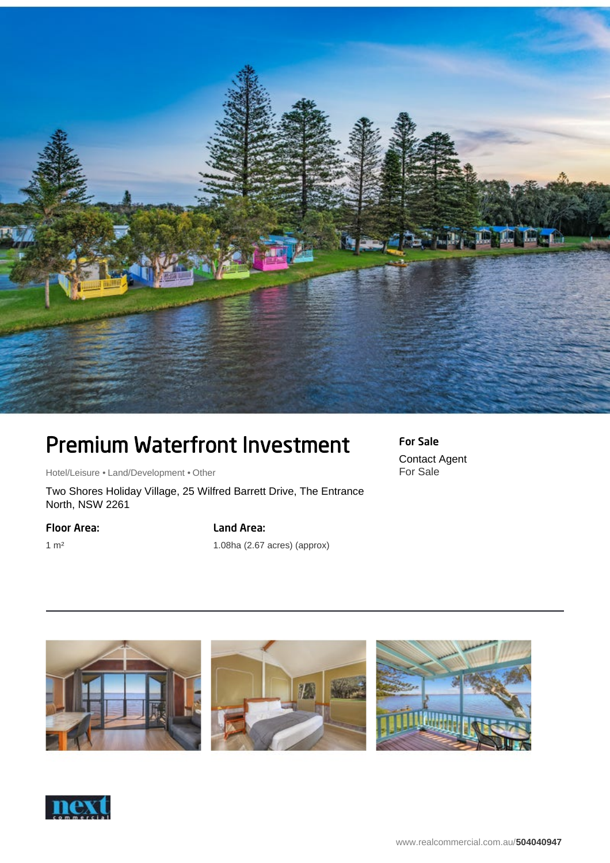

## Premium Waterfront Investment

Hotel/Leisure • Land/Development • Other

Two Shores Holiday Village, 25 Wilfred Barrett Drive, The Entrance North, NSW 2261

Floor Area:

Land Area:

1 m²

1.08ha (2.67 acres) (approx)





For Sale Contact Agent For Sale